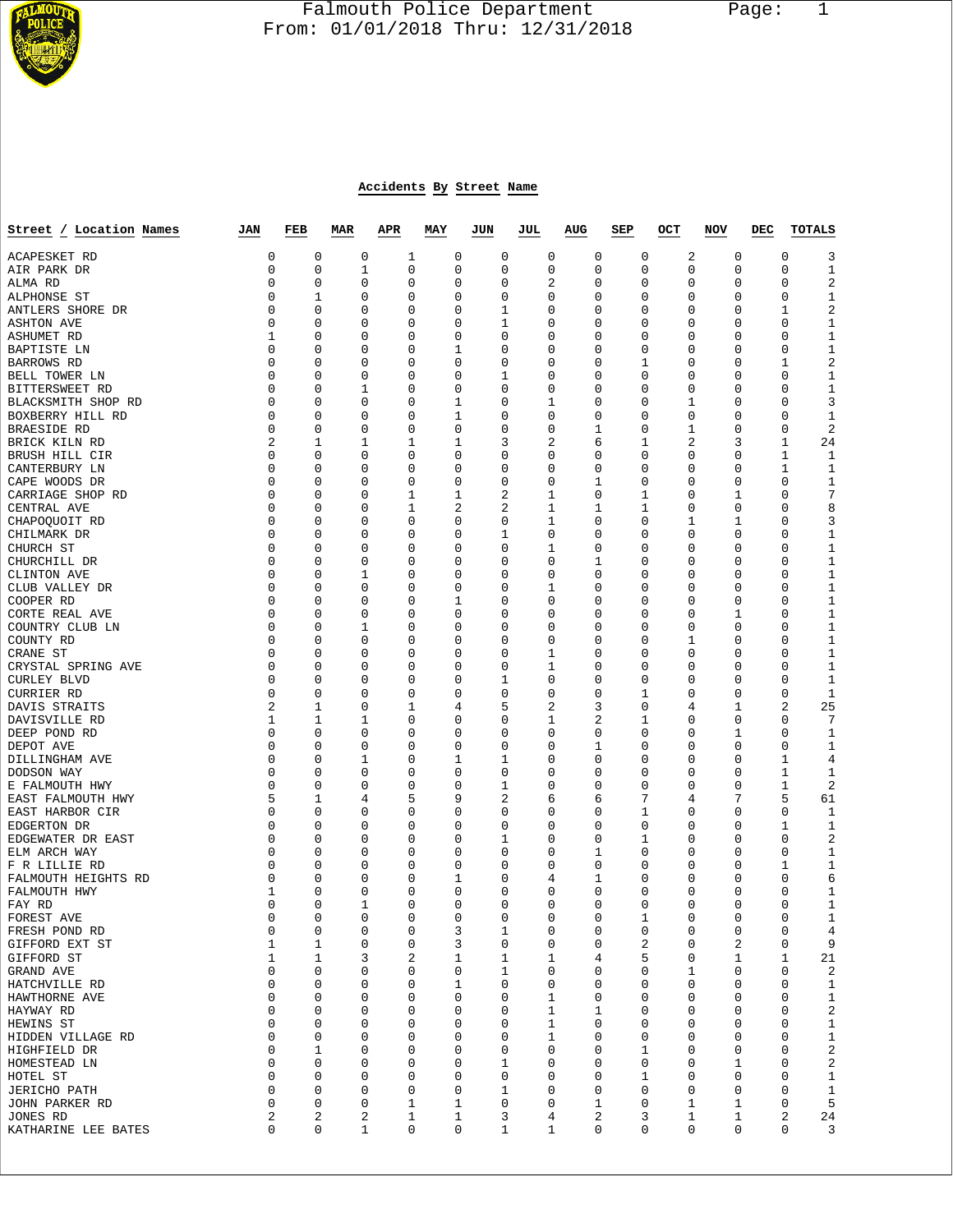

## Falmouth Police Department Page: 1  $\frac{1}{3}$  From: 01/01/2018 Thru: 12/31/2018

## **Accidents By Street Name**

| Street / Location Names         | JAN            | FEB              | <b>MAR</b>  | <b>APR</b> | MAY         | JUN                        | JUL | AUG    | SEP    | OCT            | NOV              | DEC | <b>TOTALS</b>               |
|---------------------------------|----------------|------------------|-------------|------------|-------------|----------------------------|-----|--------|--------|----------------|------------------|-----|-----------------------------|
| ACAPESKET RD                    | 0              | 0                | 0           | 1          | 0           | 0                          |     | 0      | 0      | 0              | 2<br>0           |     | 0<br>3                      |
| AIR PARK DR                     | 0              | $\mathbf 0$      | 1           | 0          | 0           | $\mathbf 0$                |     | 0      | 0      | 0              | 0<br>0           |     | $\mathbf 0$<br>1            |
| ALMA RD                         | 0              | 0                | 0           | 0          | 0           | 0                          |     | 2      | 0      | 0              | 0<br>0           |     | 0<br>2                      |
| ALPHONSE ST                     | 0              | 1                | 0           | 0          | 0           | 0                          |     | 0      | 0      | 0              | 0<br>0           |     | 0<br>1                      |
| ANTLERS SHORE DR                | 0              | 0                | 0           | 0          | 0           | 1                          |     | 0      | 0      | 0              | 0<br>0           |     | $\sqrt{2}$<br>1             |
| <b>ASHTON AVE</b>               | 0<br>1         | 0<br>0           | 0           | 0          | 0<br>0      | 1<br>$\mathbf 0$           |     | 0<br>0 | 0<br>0 | 0<br>0         | 0<br>0<br>0      |     | 0<br>1<br>$\mathbf{1}$<br>0 |
| ASHUMET RD<br>BAPTISTE LN       | 0              | 0                | 0<br>0      | 0<br>0     | 1           | $\mathbf 0$                |     | 0      | 0      | 0              | 0<br>0<br>0      |     | 0<br>1                      |
| BARROWS RD                      | 0              | 0                | 0           | 0          | 0           | 0                          |     | 0      | 0      | 1              | 0<br>0           |     | 2<br>1                      |
| BELL TOWER LN                   | 0              | 0                | 0           | 0          | 0           | 1                          |     | 0      | 0      | 0              | 0<br>0           |     | 0<br>1                      |
| BITTERSWEET RD                  | 0              | 0                | 1           | 0          | 0           | $\mathbf 0$                |     | 0      | 0      | 0              | 0<br>0           |     | 0<br>1                      |
| BLACKSMITH SHOP RD              | 0              | 0                | $\mathbf 0$ | 0          | 1           | $\mathbf 0$                |     | 1      | 0      | 0              | 1<br>0           |     | 0<br>3                      |
| BOXBERRY HILL RD                | 0              | 0                | 0           | 0          | 1           | 0                          |     | 0      | 0      | 0              | 0<br>0           |     | 0<br>1                      |
| BRAESIDE RD                     | 0              | 0                | 0           | 0          | 0           | $\mathbf 0$                |     | 0      | 1      | 0              | 1<br>0           |     | 2<br>0                      |
| BRICK KILN RD                   | 2              | 1                | 1           | 1          | 1           | 3                          |     | 2      | 6      | 1              | 2                | 3   | 1<br>24                     |
| BRUSH HILL CIR<br>CANTERBURY LN | 0<br>0         | 0<br>0           | 0<br>0      | 0<br>0     | 0<br>0      | 0<br>$\mathbf 0$           |     | 0<br>0 | 0<br>0 | 0<br>0         | 0<br>0<br>0<br>0 |     | 1<br>1<br>1<br>1            |
| CAPE WOODS DR                   | 0              | 0                | 0           | 0          | 0           | 0                          |     | 0      | 1      | 0              | 0<br>0           |     | 0<br>1                      |
| CARRIAGE SHOP RD                | 0              | 0                | 0           | 1          | 1           | 2                          |     | 1      | 0      | 1              | 1<br>0           |     | 7<br>0                      |
| CENTRAL AVE                     | 0              | 0                | 0           | 1          | 2           | $\overline{2}$             |     | 1      | 1      | 1              | 0<br>0           |     | 8<br>0                      |
| CHAPOQUOIT RD                   | 0              | 0                | 0           | 0          | 0           | 0                          |     | 1      | 0      | 0              | 1<br>1           |     | 0<br>3                      |
| CHILMARK DR                     | 0              | 0                | 0           | 0          | 0           | 1                          |     | 0      | 0      | 0              | 0<br>0           |     | 0<br>1                      |
| CHURCH ST                       | 0              | 0                | 0           | 0          | 0           | $\mathbf 0$                |     | 1      | 0      | 0              | 0<br>0           |     | $\mathbf{1}$<br>0           |
| CHURCHILL DR                    | 0              | 0                | 0           | 0          | 0           | $\mathbf 0$                |     | 0      | 1      | 0              | 0<br>0           |     | 0<br>1                      |
| CLINTON AVE                     | 0              | 0                | 1           | 0          | 0           | 0                          |     | 0      | 0      | 0              | 0<br>0           |     | 0<br>1                      |
| CLUB VALLEY DR<br>COOPER RD     | 0<br>0         | 0<br>0           | 0<br>0      | 0<br>0     | 0<br>1      | $\mathbf 0$<br>$\mathbf 0$ |     | 1<br>0 | 0<br>0 | 0<br>0         | 0<br>0<br>0<br>0 |     | $\mathbf{1}$<br>0<br>0<br>1 |
| CORTE REAL AVE                  | 0              | 0                | 0           | 0          | 0           | $\mathbf 0$                |     | 0      | 0      | 0              | 1<br>0           |     | 0<br>1                      |
| COUNTRY CLUB LN                 | 0              | 0                | 1           | 0          | 0           | 0                          |     | 0      | 0      | 0              | 0<br>0           |     | $\mathbf{1}$<br>0           |
| COUNTY RD                       | 0              | 0                | 0           | 0          | 0           | $\mathbf 0$                |     | 0      | 0      | 0              | 1<br>0           |     | 0<br>1                      |
| CRANE ST                        | 0              | 0                | 0           | 0          | 0           | 0                          |     | 1      | 0      | 0              | 0<br>0           |     | 0<br>1                      |
| CRYSTAL SPRING AVE              | 0              | 0                | 0           | 0          | 0           | $\mathbf 0$                |     | 1      | 0      | 0              | 0<br>0           |     | 0<br>1                      |
| CURLEY BLVD                     | 0              | 0                | 0           | 0          | 0           | 1                          |     | 0      | 0      | 0              | 0<br>0           |     | 0<br>1                      |
| <b>CURRIER RD</b>               | 0              | 0                | 0           | 0          | 0           | 0                          |     | 0      | 0      | 1              | 0<br>0           |     | 0<br>1                      |
| DAVIS STRAITS                   | 2              | 1                | 0           | 1          | 4           | 5                          |     | 2      | 3      | 0              | 1<br>4           |     | 2<br>25                     |
| DAVISVILLE RD                   | 1<br>0         | 1<br>0           | 1<br>0      | 0<br>0     | 0<br>0      | $\mathbf 0$<br>0           |     | 1<br>0 | 2<br>0 | 1<br>0         | 0<br>0<br>1<br>0 |     | 0<br>7<br>0                 |
| DEEP POND RD<br>DEPOT AVE       | 0              | 0                | 0           | 0          | 0           | 0                          |     | 0      | 1      | 0              | 0<br>0           |     | 1<br>0<br>1                 |
| DILLINGHAM AVE                  | 0              | 0                | 1           | 0          | 1           | 1                          |     | 0      | 0      | 0              | 0<br>0           |     | 1<br>4                      |
| DODSON WAY                      | 0              | 0                | 0           | 0          | 0           | 0                          |     | 0      | 0      | 0              | 0<br>0           |     | 1<br>1                      |
| E FALMOUTH HWY                  | 0              | 0                | 0           | 0          | 0           | 1                          |     | 0      | 0      | 0              | 0<br>0           |     | $\mathbf 1$<br>$\sqrt{2}$   |
| EAST FALMOUTH HWY               | 5              | 1                | 4           | 5          | 9           | $\overline{2}$             |     | 6      | 6      | 7              | 4                | 7   | 5<br>61                     |
| EAST HARBOR CIR                 | 0              | 0                | 0           | 0          | 0           | 0                          |     | 0      | 0      | 1              | 0<br>0           |     | 0<br>1                      |
| EDGERTON DR                     | 0              | 0                | 0           | 0          | 0           | 0                          |     | 0      | 0      | 0              | 0<br>0           |     | 1<br>1                      |
| EDGEWATER DR EAST               | 0<br>0         | 0<br>0           | 0           | 0<br>0     | 0           | 1                          |     | 0      | 0      | 1<br>0         | 0<br>0<br>0      |     | 0<br>2<br>0                 |
| ELM ARCH WAY<br>F R LILLIE RD   | 0              | 0                | 0<br>0      | 0          | 0<br>0      | 0<br>$\mathbf 0$           |     | 0<br>0 | 1<br>0 | 0              | 0<br>0<br>0      |     | 1<br>1<br>1                 |
| FALMOUTH HEIGHTS RD             | 0              | 0                | 0           | 0          | 1           | 0                          |     | 4      | 1      | 0              | 0<br>0           |     | 0<br>6                      |
| FALMOUTH HWY                    | 1              | 0                | 0           | 0          | 0           | 0                          |     | 0      | 0      | 0              | 0<br>0           |     | 0<br>1                      |
| FAY RD                          | 0              | 0                | 1           | 0          | 0           | 0                          |     | 0      | 0      | 0              | 0<br>0           |     | 0<br>1                      |
| FOREST AVE                      | 0              | 0                | 0           | 0          | 0           | 0                          |     | 0      | 0      | 1              | 0<br>0           |     | 0<br>1                      |
| FRESH POND RD                   | 0              | 0                | 0           | 0          | 3           | $\mathbf 1$                |     | 0      | 0      | 0              | 0<br>0           |     | 0<br>4                      |
| GIFFORD EXT ST                  | 1              | 1                | 0           | 0          | 3           | $\mathbf 0$                |     | 0      | 0      | $\overline{2}$ | 2<br>0           |     | 0<br>9                      |
| GIFFORD ST                      | 1              | 1                | 3<br>0      | 2<br>0     | $\mathbf 1$ | 1                          |     | 1      | 4      | 5<br>0         | 0<br>1           |     | 1<br>21<br>0                |
| GRAND AVE<br>HATCHVILLE RD      | 0<br>0         | 0<br>0           | 0           | 0          | 0<br>1      | 1<br>0                     |     | 0<br>0 | 0<br>0 | 0              | 0<br>1<br>0<br>0 |     | 2<br>0<br>$\mathbf{1}$      |
| HAWTHORNE AVE                   | 0              | 0                | 0           | 0          | 0           | 0                          |     | 1      | 0      | 0              | 0<br>0           |     | 0<br>$\mathbf 1$            |
| HAYWAY RD                       | 0              | 0                | 0           | 0          | 0           | 0                          |     | 1      | 1      | 0              | 0<br>0           |     | 2<br>0                      |
| HEWINS ST                       | 0              | 0                | 0           | 0          | 0           | $\mathbf 0$                |     | 1      | 0      | 0              | 0<br>0           |     | $\mathbf{1}$<br>0           |
| HIDDEN VILLAGE RD               | 0              | 0                | 0           | 0          | 0           | 0                          |     | 1      | 0      | 0              | 0<br>0           |     | $\mathbf{1}$<br>0           |
| HIGHFIELD DR                    | 0              | 1                | 0           | 0          | 0           | 0                          |     | 0      | 0      | 1              | 0<br>0           |     | $\boldsymbol{2}$<br>0       |
| HOMESTEAD LN                    | 0              | 0                | 0           | 0          | 0           | 1                          |     | 0      | 0      | 0              | 1<br>0           |     | 2<br>0                      |
| HOTEL ST                        | 0              | 0                | 0           | 0          | 0           | 0                          |     | 0      | 0      | 1              | 0<br>0           |     | 0<br>1                      |
| <b>JERICHO PATH</b>             | 0<br>0         | 0<br>$\mathbf 0$ | 0<br>0      | 0<br>1     | 0<br>1      | 1<br>0                     |     | 0<br>0 | 0<br>1 | 0<br>0         | 0<br>0<br>1      |     | 0<br>$\mathbf{1}$<br>5<br>0 |
| JOHN PARKER RD<br>JONES RD      | $\overline{2}$ | 2                | 2           | 1          | 1           | 3                          |     | 4      | 2      | 3              | 1<br>1<br>1      |     | 2<br>24                     |
| KATHARINE LEE BATES             | 0              | 0                | 1           | 0          | 0           | 1                          |     | 1      | 0      | 0              | 0<br>0           |     | 0<br>3                      |
|                                 |                |                  |             |            |             |                            |     |        |        |                |                  |     |                             |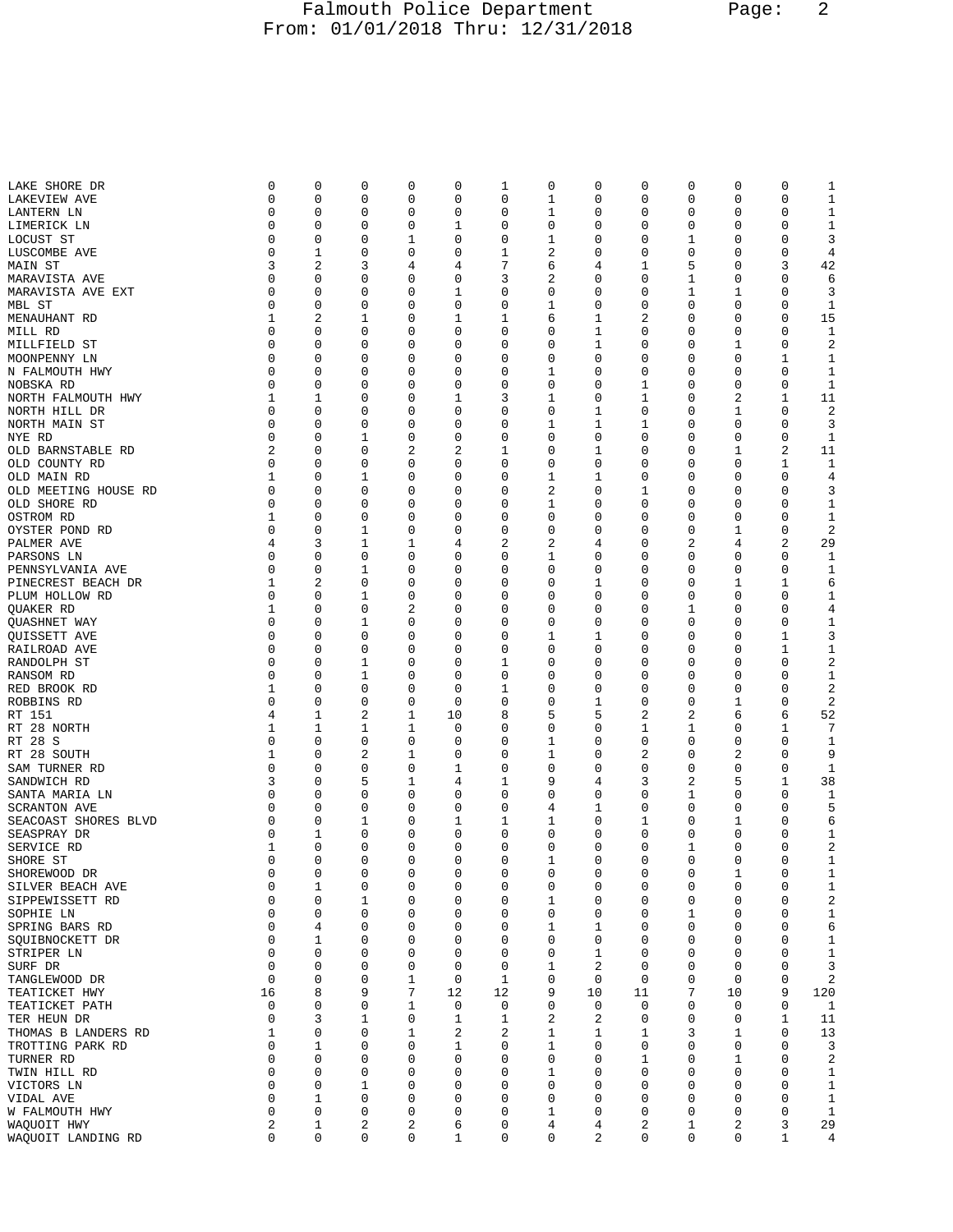## Falmouth Police Department Page: 2 From: 01/01/2018 Thru: 12/31/2018

| LAKE SHORE DR        | 0           | 0           | 0              | 0           | 0            | 1            | 0            | 0              | 0           | 0           | 0           | 0            | 1              |
|----------------------|-------------|-------------|----------------|-------------|--------------|--------------|--------------|----------------|-------------|-------------|-------------|--------------|----------------|
| LAKEVIEW AVE         | 0           | 0           | 0              | 0           | 0            | 0            | 1            | 0              | 0           | 0           | 0           | 0            | $\mathbf 1$    |
| LANTERN LN           | 0           | 0           | $\mathbf 0$    | 0           | 0            | 0            | 1            | 0              | 0           | 0           | 0           | 0            | 1              |
|                      |             |             |                |             |              |              |              |                |             |             |             |              |                |
| LIMERICK LN          | 0           | 0           | 0              | 0           | 1            | 0            | 0            | 0              | 0           | 0           | 0           | 0            | 1              |
| LOCUST ST            | 0           | 0           | 0              | 1           | 0            | 0            | 1            | 0              | 0           | 1           | 0           | 0            | 3              |
| LUSCOMBE AVE         | 0           | 1           | $\mathbf 0$    | 0           | 0            | 1            | 2            | 0              | 0           | 0           | 0           | 0            | 4              |
| MAIN ST              | 3           | 2           | 3              | 4           | 4            | 7            | 6            | 4              | 1           | 5           | 0           | 3            | 42             |
| MARAVISTA AVE        | 0           | 0           | 0              | 0           | 0            | 3            | 2            | 0              | 0           | 1           | 0           | 0            | 6              |
| MARAVISTA AVE EXT    | 0           | 0           | 0              | 0           | 1            | 0            | 0            | 0              | 0           | 1           | 1           | 0            | 3              |
|                      |             |             |                |             |              |              |              |                |             |             |             |              |                |
| MBL ST               | 0           | 0           | 0              | 0           | 0            | 0            | 1            | 0              | 0           | 0           | 0           | 0            | 1              |
| MENAUHANT RD         | 1           | 2           | 1              | 0           | 1            | 1            | 6            | 1              | 2           | 0           | 0           | 0            | 15             |
| MILL RD              | 0           | 0           | 0              | 0           | 0            | 0            | 0            | 1              | 0           | 0           | 0           | 0            | 1              |
| MILLFIELD ST         | 0           | 0           | 0              | 0           | 0            | 0            | 0            | 1              | 0           | 0           | 1           | 0            | 2              |
|                      | 0           | 0           | 0              | 0           | 0            | 0            | 0            | 0              | 0           | 0           | 0           | 1            | 1              |
| MOONPENNY LN         |             |             |                |             |              |              |              |                |             |             |             |              |                |
| N FALMOUTH HWY       | 0           | 0           | $\mathbf 0$    | 0           | 0            | 0            | 1            | 0              | 0           | 0           | 0           | 0            | $\mathbf 1$    |
| NOBSKA RD            | $\Omega$    | 0           | 0              | 0           | 0            | 0            | 0            | 0              | 1           | 0           | 0           | 0            | 1              |
| NORTH FALMOUTH HWY   | 1           | 1           | 0              | 0           | 1            | 3            | 1            | 0              | 1           | 0           | 2           | 1            | 11             |
| NORTH HILL DR        | 0           | 0           | $\mathbf 0$    | 0           | 0            | 0            | 0            | 1              | 0           | 0           | 1           | 0            | $\overline{c}$ |
| NORTH MAIN ST        | 0           | 0           | 0              | 0           | 0            | 0            | 1            | 1              | 1           | 0           | 0           | 0            | 3              |
|                      |             |             |                |             |              |              |              |                |             |             |             |              |                |
| NYE RD               | 0           | 0           | 1              | 0           | 0            | 0            | 0            | 0              | 0           | 0           | 0           | 0            | 1              |
| OLD BARNSTABLE RD    | 2           | 0           | 0              | 2           | 2            | 1            | 0            | 1              | 0           | 0           | 1           | 2            | 11             |
| OLD COUNTY RD        | 0           | 0           | 0              | 0           | 0            | 0            | 0            | 0              | 0           | 0           | 0           | 1            | 1              |
| OLD MAIN RD          | 1           | 0           | 1              | 0           | 0            | 0            | 1            | 1              | 0           | 0           | 0           | 0            | 4              |
| OLD MEETING HOUSE RD | 0           | 0           | 0              | 0           | 0            | 0            | 2            | 0              | 1           | 0           | 0           | $\mathbf 0$  | 3              |
|                      |             |             |                |             |              |              |              |                |             |             |             |              |                |
| OLD SHORE RD         | 0           | 0           | 0              | 0           | 0            | 0            | 1            | 0              | 0           | 0           | 0           | 0            | $\mathbf 1$    |
| OSTROM RD            | 1           | 0           | 0              | 0           | 0            | 0            | 0            | 0              | 0           | 0           | 0           | 0            | $\mathbf 1$    |
| OYSTER POND RD       | 0           | 0           | 1              | 0           | 0            | 0            | 0            | 0              | 0           | 0           | 1           | 0            | $\overline{c}$ |
| PALMER AVE           | 4           | 3           | 1              | 1           | 4            | 2            | 2            | 4              | 0           | 2           | 4           | 2            | 29             |
| PARSONS LN           | $\Omega$    | 0           | 0              | 0           | 0            | 0            | 1            | 0              | 0           | 0           | 0           | 0            | 1              |
|                      | 0           | 0           |                | 0           | 0            | 0            | 0            |                | 0           |             | 0           |              |                |
| PENNSYLVANIA AVE     |             |             | 1              |             |              |              |              | 0              |             | 0           |             | 0            | 1              |
| PINECREST BEACH DR   | 1           | 2           | 0              | 0           | 0            | 0            | 0            | 1              | 0           | 0           | 1           | 1            | 6              |
| PLUM HOLLOW RD       | 0           | 0           | 1              | 0           | 0            | 0            | 0            | 0              | 0           | 0           | 0           | 0            | $\mathbf 1$    |
| <b>OUAKER RD</b>     | 1           | 0           | 0              | 2           | 0            | 0            | 0            | 0              | 0           | 1           | 0           | 0            | $\,4$          |
| <b>OUASHNET WAY</b>  | 0           | 0           | 1              | 0           | 0            | 0            | 0            | 0              | 0           | 0           | 0           | 0            | $\mathbf 1$    |
|                      | 0           | 0           | 0              | 0           | 0            | 0            | 1            | 1              | 0           | 0           | 0           | 1            | 3              |
| QUISSETT AVE         |             |             |                |             |              |              |              |                |             |             |             |              |                |
| RAILROAD AVE         | 0           | 0           | 0              | 0           | 0            | 0            | 0            | 0              | 0           | 0           | 0           | 1            | $\mathbf 1$    |
| RANDOLPH ST          | 0           | 0           | 1              | 0           | 0            | 1            | 0            | 0              | 0           | 0           | 0           | 0            | $\sqrt{2}$     |
| RANSOM RD            | 0           | 0           | 1              | 0           | 0            | 0            | 0            | 0              | 0           | 0           | 0           | 0            | $\mathbf 1$    |
| RED BROOK RD         | 1           | 0           | 0              | 0           | 0            | 1            | 0            | 0              | 0           | 0           | 0           | 0            | 2              |
| ROBBINS RD           | 0           | 0           | 0              | 0           | 0            | 0            | 0            | 1              | 0           | 0           | 1           | 0            | 2              |
|                      |             |             |                |             |              |              |              |                |             |             |             |              |                |
| RT 151               | 4           | 1           | 2              | 1           | 10           | 8            | 5            | 5              | 2           | 2           | 6           | 6            | 52             |
| RT 28 NORTH          | 1           | 1           | 1              | 1           | 0            | 0            | 0            | 0              | 1           | 1           | 0           | 1            | 7              |
| RT 28 S              | 0           | 0           | 0              | 0           | 0            | 0            | 1            | 0              | 0           | 0           | 0           | 0            | $\mathbf 1$    |
| RT 28 SOUTH          | 1           | 0           | $\overline{2}$ | 1           | 0            | 0            | 1            | 0              | 2           | 0           | 2           | 0            | 9              |
| SAM TURNER RD        | 0           | 0           | $\mathbf 0$    | 0           | 1            | 0            | 0            | 0              | 0           | 0           | 0           | 0            | 1              |
|                      |             |             |                |             |              |              |              |                |             |             |             |              |                |
| SANDWICH RD          | 3           | 0           | 5              | 1           | 4            | 1            | 9            | 4              | 3           | 2           | 5           | 1            | 38             |
| SANTA MARIA LN       | $\Omega$    | 0           | 0              | 0           | 0            | 0            | 0            | 0              | 0           | 1           | 0           | 0            | 1              |
| <b>SCRANTON AVE</b>  | 0           | 0           | 0              | 0           | 0            | 0            | 4            | 1              | 0           | 0           | 0           | 0            | 5              |
| SEACOAST SHORES BLVD | 0           | 0           | 1              | 0           | 1            | 1            | 1            | 0              | 1           | 0           | 1           | 0            | 6              |
| SEASPRAY DR          | 0           | 1           | 0              | 0           | 0            | 0            | 0            | 0              | 0           | 0           | 0           | 0            | $\mathbf 1$    |
| SERVICE RD           | 1           | 0           | $\mathbf 0$    | 0           | 0            | 0            | 0            | 0              | 0           | 1           | 0           | $\mathbf 0$  | 2              |
|                      |             |             |                |             |              |              |              |                |             |             |             |              |                |
| SHORE ST             | 0           | 0           | 0              | 0           | 0            | 0            | 1            | 0              | $\mathbf 0$ | 0           | 0           | 0            | 1              |
| SHOREWOOD DR         | $\Omega$    | $\Omega$    | $\Omega$       | 0           | 0            | 0            | $\Omega$     | $\Omega$       | $\Omega$    | $\Omega$    | 1           | 0            | 1              |
| SILVER BEACH AVE     | $\mathbf 0$ | 1           | $\mathbf 0$    | $\mathbf 0$ | $\mathbf 0$  | $\mathbf 0$  | $\mathbf 0$  | $\mathbf 0$    | 0           | $\mathbf 0$ | $\mathbf 0$ | $\mathbf 0$  | 1              |
| SIPPEWISSETT RD      | 0           | 0           | 1              | 0           | 0            | 0            | 1            | 0              | 0           | 0           | 0           | 0            | $\sqrt{2}$     |
| SOPHIE LN            | 0           | 0           | $\mathsf 0$    | 0           | 0            | 0            | 0            | 0              | 0           | 1           | 0           | 0            | $\mathbf 1$    |
|                      | 0           | 4           | $\mathbf 0$    | 0           | $\mathbf 0$  | $\mathbf{0}$ | 1            | 1              | 0           | 0           | 0           | 0            | $\epsilon$     |
| SPRING BARS RD       |             |             |                |             |              |              |              |                |             |             |             |              |                |
| SQUIBNOCKETT DR      | 0           | 1           | 0              | 0           | 0            | $\mathbf 0$  | 0            | 0              | 0           | 0           | 0           | 0            | $\mathbf 1$    |
| STRIPER LN           | $\mathbf 0$ | 0           | 0              | 0           | 0            | 0            | 0            | 1              | 0           | 0           | 0           | 0            | $\mathbf 1$    |
| SURF DR              | $\mathbf 0$ | 0           | $\mathbf 0$    | 0           | $\mathbf 0$  | $\mathbf{0}$ | 1            | $\overline{a}$ | 0           | 0           | 0           | $\mathbf 0$  | 3              |
| TANGLEWOOD DR        | 0           | 0           | 0              | 1           | 0            | 1            | 0            | 0              | 0           | 0           | 0           | 0            | $\sqrt{2}$     |
| TEATICKET HWY        | 16          | 8           | 9              | 7           | 12           | 12           | 9            | 10             | 11          | 7           | 10          | 9            | 120            |
|                      | 0           | 0           | $\mathbf 0$    | 1           | $\mathbf 0$  | $\mathbf 0$  | 0            | 0              | 0           | 0           | 0           | 0            | $\mathbf{1}$   |
| TEATICKET PATH       |             |             |                |             |              |              |              |                |             |             |             |              |                |
| TER HEUN DR          | 0           | 3           | 1              | 0           | 1            | 1            | 2            | 2              | 0           | 0           | 0           | 1            | 11             |
| THOMAS B LANDERS RD  | 1           | 0           | $\mathbf 0$    | 1           | 2            | $\sqrt{2}$   | 1            | 1              | 1           | 3           | 1           | 0            | 13             |
| TROTTING PARK RD     | $\mathbf 0$ | 1           | $\mathbf 0$    | 0           | $\mathbf 1$  | $\mathbf 0$  | $\mathbf{1}$ | 0              | 0           | 0           | 0           | 0            | 3              |
| TURNER RD            | 0           | 0           | 0              | 0           | 0            | 0            | 0            | 0              | 1           | 0           | 1           | 0            | $\sqrt{2}$     |
| TWIN HILL RD         | 0           | 0           | $\mathbf 0$    | 0           | 0            | 0            | 1            | 0              | 0           | 0           | 0           | 0            | $\mathbf{1}$   |
|                      | $\mathbf 0$ | 0           | $\mathbf{1}$   |             | $\mathbf 0$  | $\mathbf 0$  |              |                |             |             |             |              |                |
| VICTORS LN           |             |             |                | 0           |              |              | 0            | 0              | 0           | 0           | 0           | 0            | $\mathbf{1}$   |
| VIDAL AVE            | 0           | 1           | 0              | 0           | 0            | 0            | 0            | 0              | 0           | 0           | 0           | 0            | 1              |
| W FALMOUTH HWY       | $\mathbf 0$ | 0           | $\mathbf 0$    | 0           | 0            | 0            | 1            | 0              | 0           | 0           | 0           | 0            | $\mathbf{1}$   |
| WAQUOIT HWY          | 2           | 1           | 2              | 2           | 6            | 0            | 4            | 4              | 2           | 1           | 2           | 3            | 29             |
| WAQUOIT LANDING RD   | 0           | $\mathbf 0$ | $\mathbf 0$    | 0           | $\mathbf{1}$ | $\mathsf 0$  | 0            | 2              | 0           | $\mathbf 0$ | 0           | $\mathbf{1}$ | $\overline{4}$ |
|                      |             |             |                |             |              |              |              |                |             |             |             |              |                |